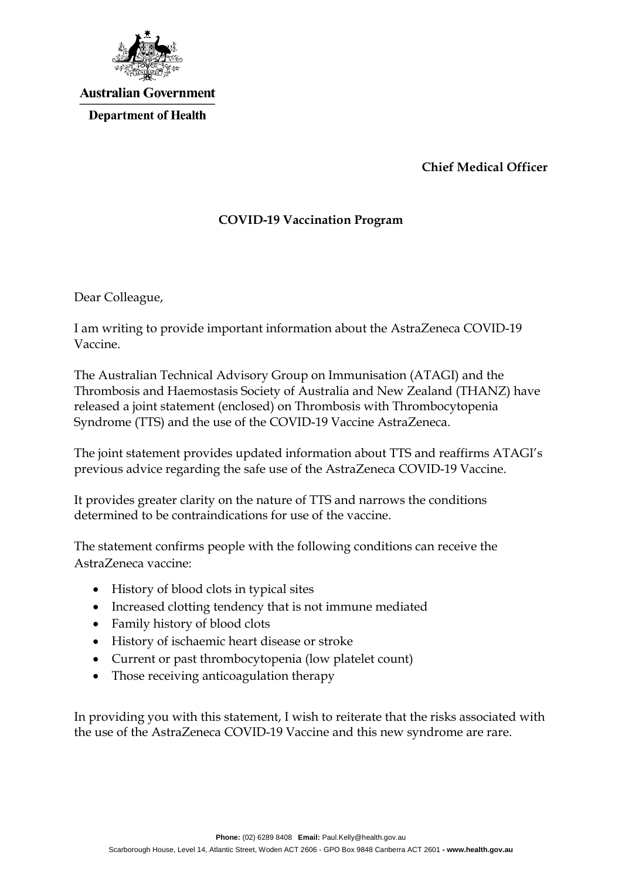

## **Australian Government Department of Health**

**Chief Medical Officer**

## **COVID-19 Vaccination Program**

Dear Colleague,

I am writing to provide important information about the AstraZeneca COVID-19 Vaccine.

The Australian Technical Advisory Group on Immunisation (ATAGI) and the Thrombosis and Haemostasis Society of Australia and New Zealand (THANZ) have released a joint statement (enclosed) on Thrombosis with Thrombocytopenia Syndrome (TTS) and the use of the COVID-19 Vaccine AstraZeneca.

The joint statement provides updated information about TTS and reaffirms ATAGI's previous advice regarding the safe use of the AstraZeneca COVID-19 Vaccine.

It provides greater clarity on the nature of TTS and narrows the conditions determined to be contraindications for use of the vaccine.

The statement confirms people with the following conditions can receive the AstraZeneca vaccine:

- History of blood clots in typical sites
- Increased clotting tendency that is not immune mediated
- Family history of blood clots
- History of ischaemic heart disease or stroke
- Current or past thrombocytopenia (low platelet count)
- Those receiving anticoagulation therapy

In providing you with this statement, I wish to reiterate that the risks associated with the use of the AstraZeneca COVID-19 Vaccine and this new syndrome are rare.